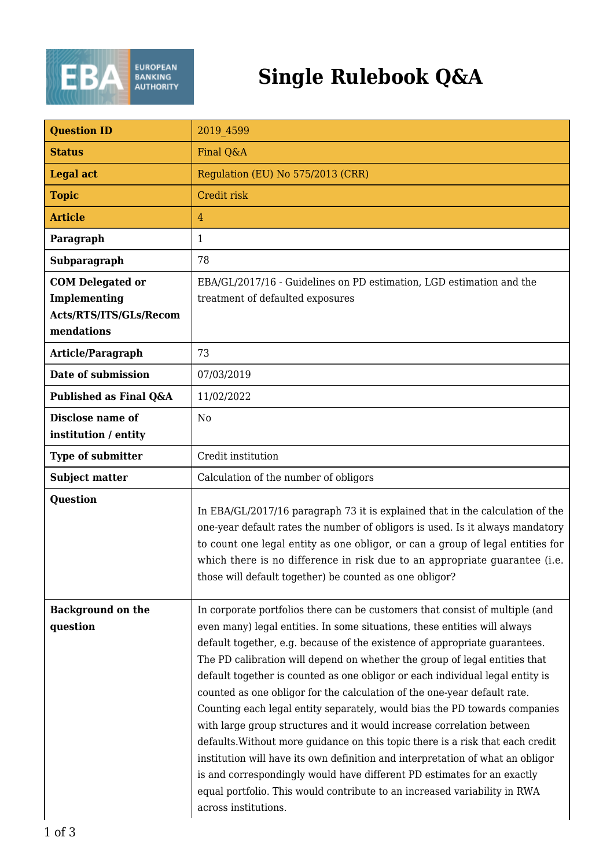

## **Single Rulebook Q&A**

| <b>Question ID</b>                                                              | 2019 4599                                                                                                                                                                                                                                                                                                                                                                                                                                                                                                                                                                                                                                                                                                                                                                                                                                                                                                                                                                                     |
|---------------------------------------------------------------------------------|-----------------------------------------------------------------------------------------------------------------------------------------------------------------------------------------------------------------------------------------------------------------------------------------------------------------------------------------------------------------------------------------------------------------------------------------------------------------------------------------------------------------------------------------------------------------------------------------------------------------------------------------------------------------------------------------------------------------------------------------------------------------------------------------------------------------------------------------------------------------------------------------------------------------------------------------------------------------------------------------------|
| <b>Status</b>                                                                   | Final Q&A                                                                                                                                                                                                                                                                                                                                                                                                                                                                                                                                                                                                                                                                                                                                                                                                                                                                                                                                                                                     |
| <b>Legal act</b>                                                                | Regulation (EU) No 575/2013 (CRR)                                                                                                                                                                                                                                                                                                                                                                                                                                                                                                                                                                                                                                                                                                                                                                                                                                                                                                                                                             |
| <b>Topic</b>                                                                    | Credit risk                                                                                                                                                                                                                                                                                                                                                                                                                                                                                                                                                                                                                                                                                                                                                                                                                                                                                                                                                                                   |
| <b>Article</b>                                                                  | $\overline{4}$                                                                                                                                                                                                                                                                                                                                                                                                                                                                                                                                                                                                                                                                                                                                                                                                                                                                                                                                                                                |
| Paragraph                                                                       | 1                                                                                                                                                                                                                                                                                                                                                                                                                                                                                                                                                                                                                                                                                                                                                                                                                                                                                                                                                                                             |
| Subparagraph                                                                    | 78                                                                                                                                                                                                                                                                                                                                                                                                                                                                                                                                                                                                                                                                                                                                                                                                                                                                                                                                                                                            |
| <b>COM Delegated or</b><br>Implementing<br>Acts/RTS/ITS/GLs/Recom<br>mendations | EBA/GL/2017/16 - Guidelines on PD estimation, LGD estimation and the<br>treatment of defaulted exposures                                                                                                                                                                                                                                                                                                                                                                                                                                                                                                                                                                                                                                                                                                                                                                                                                                                                                      |
| <b>Article/Paragraph</b>                                                        | 73                                                                                                                                                                                                                                                                                                                                                                                                                                                                                                                                                                                                                                                                                                                                                                                                                                                                                                                                                                                            |
| Date of submission                                                              | 07/03/2019                                                                                                                                                                                                                                                                                                                                                                                                                                                                                                                                                                                                                                                                                                                                                                                                                                                                                                                                                                                    |
| Published as Final Q&A                                                          | 11/02/2022                                                                                                                                                                                                                                                                                                                                                                                                                                                                                                                                                                                                                                                                                                                                                                                                                                                                                                                                                                                    |
| Disclose name of<br>institution / entity                                        | N <sub>0</sub>                                                                                                                                                                                                                                                                                                                                                                                                                                                                                                                                                                                                                                                                                                                                                                                                                                                                                                                                                                                |
| <b>Type of submitter</b>                                                        | Credit institution                                                                                                                                                                                                                                                                                                                                                                                                                                                                                                                                                                                                                                                                                                                                                                                                                                                                                                                                                                            |
| <b>Subject matter</b>                                                           | Calculation of the number of obligors                                                                                                                                                                                                                                                                                                                                                                                                                                                                                                                                                                                                                                                                                                                                                                                                                                                                                                                                                         |
| Question                                                                        | In EBA/GL/2017/16 paragraph 73 it is explained that in the calculation of the<br>one-year default rates the number of obligors is used. Is it always mandatory<br>to count one legal entity as one obligor, or can a group of legal entities for<br>which there is no difference in risk due to an appropriate guarantee (i.e.<br>those will default together) be counted as one obligor?                                                                                                                                                                                                                                                                                                                                                                                                                                                                                                                                                                                                     |
| <b>Background on the</b><br>question                                            | In corporate portfolios there can be customers that consist of multiple (and<br>even many) legal entities. In some situations, these entities will always<br>default together, e.g. because of the existence of appropriate guarantees.<br>The PD calibration will depend on whether the group of legal entities that<br>default together is counted as one obligor or each individual legal entity is<br>counted as one obligor for the calculation of the one-year default rate.<br>Counting each legal entity separately, would bias the PD towards companies<br>with large group structures and it would increase correlation between<br>defaults. Without more guidance on this topic there is a risk that each credit<br>institution will have its own definition and interpretation of what an obligor<br>is and correspondingly would have different PD estimates for an exactly<br>equal portfolio. This would contribute to an increased variability in RWA<br>across institutions. |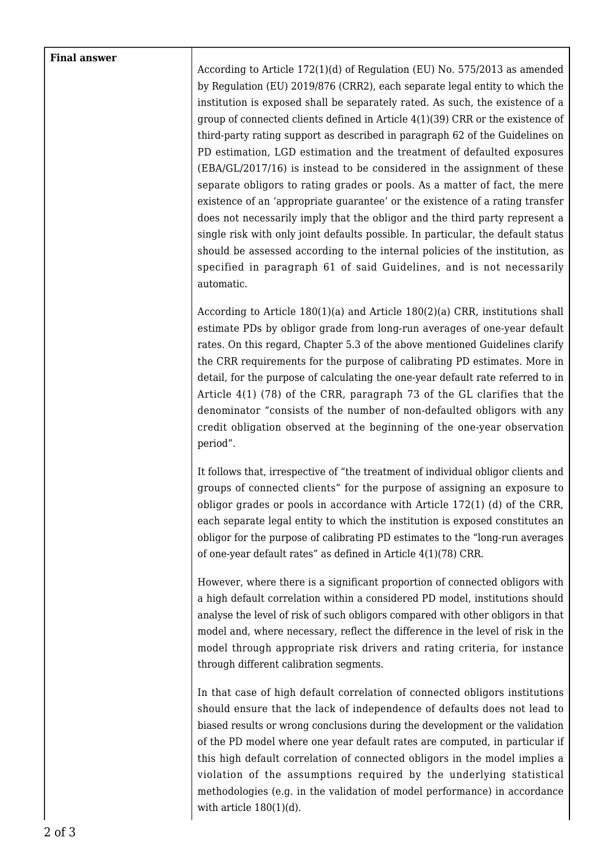## **Final answer**

According to Article 172(1)(d) of Regulation (EU) No. 575/2013 as amended by Regulation (EU) 2019/876 (CRR2), each separate legal entity to which the institution is exposed shall be separately rated. As such, the existence of a group of connected clients defined in Article 4(1)(39) CRR or the existence of third-party rating support as described in paragraph 62 of the Guidelines on PD estimation, LGD estimation and the treatment of defaulted exposures (EBA/GL/2017/16) is instead to be considered in the assignment of these separate obligors to rating grades or pools. As a matter of fact, the mere existence of an 'appropriate guarantee' or the existence of a rating transfer does not necessarily imply that the obligor and the third party represent a single risk with only joint defaults possible. In particular, the default status should be assessed according to the internal policies of the institution, as specified in paragraph 61 of said Guidelines, and is not necessarily automatic.

According to Article 180(1)(a) and Article 180(2)(a) CRR, institutions shall estimate PDs by obligor grade from long-run averages of one-year default rates. On this regard, Chapter 5.3 of the above mentioned Guidelines clarify the CRR requirements for the purpose of calibrating PD estimates. More in detail, for the purpose of calculating the one-year default rate referred to in Article 4(1) (78) of the CRR, paragraph 73 of the GL clarifies that the denominator "consists of the number of non-defaulted obligors with any credit obligation observed at the beginning of the one-year observation period".

It follows that, irrespective of "the treatment of individual obligor clients and groups of connected clients" for the purpose of assigning an exposure to obligor grades or pools in accordance with Article 172(1) (d) of the CRR, each separate legal entity to which the institution is exposed constitutes an obligor for the purpose of calibrating PD estimates to the "long-run averages of one-year default rates" as defined in Article 4(1)(78) CRR.

However, where there is a significant proportion of connected obligors with a high default correlation within a considered PD model, institutions should analyse the level of risk of such obligors compared with other obligors in that model and, where necessary, reflect the difference in the level of risk in the model through appropriate risk drivers and rating criteria, for instance through different calibration segments.

In that case of high default correlation of connected obligors institutions should ensure that the lack of independence of defaults does not lead to biased results or wrong conclusions during the development or the validation of the PD model where one year default rates are computed, in particular if this high default correlation of connected obligors in the model implies a violation of the assumptions required by the underlying statistical methodologies (e.g. in the validation of model performance) in accordance with article  $180(1)(d)$ .